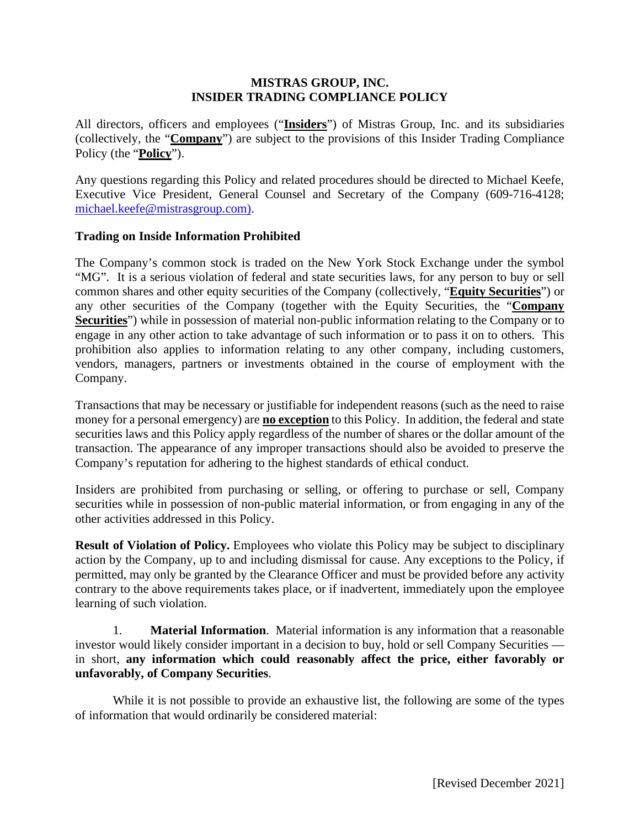#### **MISTRAS GROUP, INC. INSIDER TRADING COMPLIANCE POLICY**

All directors, officers and employees ("**Insiders**") of Mistras Group, Inc. and its subsidiaries (collectively, the "**Company**") are subject to the provisions of this Insider Trading Compliance Policy (the "**Policy**").

Any questions regarding this Policy and related procedures should be directed to Michael Keefe, Executive Vice President, General Counsel and Secretary of the Company (609-716-4128; [michael.keefe@mistrasgroup.com\)](mailto:michael.keefe@mistrasgroup.com).

#### **Trading on Inside Information Prohibited**

The Company's common stock is traded on the New York Stock Exchange under the symbol "MG". It is a serious violation of federal and state securities laws, for any person to buy or sell common shares and other equity securities of the Company (collectively, "**Equity Securities**") or any other securities of the Company (together with the Equity Securities, the "**Company Securities**") while in possession of material non-public information relating to the Company or to engage in any other action to take advantage of such information or to pass it on to others. This prohibition also applies to information relating to any other company, including customers, vendors, managers, partners or investments obtained in the course of employment with the Company.

Transactions that may be necessary or justifiable for independent reasons (such as the need to raise money for a personal emergency) are **no exception** to this Policy. In addition, the federal and state securities laws and this Policy apply regardless of the number of shares or the dollar amount of the transaction. The appearance of any improper transactions should also be avoided to preserve the Company's reputation for adhering to the highest standards of ethical conduct.

Insiders are prohibited from purchasing or selling, or offering to purchase or sell, Company securities while in possession of non-public material information, or from engaging in any of the other activities addressed in this Policy.

**Result of Violation of Policy.** Employees who violate this Policy may be subject to disciplinary action by the Company, up to and including dismissal for cause. Any exceptions to the Policy, if permitted, may only be granted by the Clearance Officer and must be provided before any activity contrary to the above requirements takes place, or if inadvertent, immediately upon the employee learning of such violation.

1. **Material Information**. Material information is any information that a reasonable investor would likely consider important in a decision to buy, hold or sell Company Securities in short, **any information which could reasonably affect the price, either favorably or unfavorably, of Company Securities**.

While it is not possible to provide an exhaustive list, the following are some of the types of information that would ordinarily be considered material: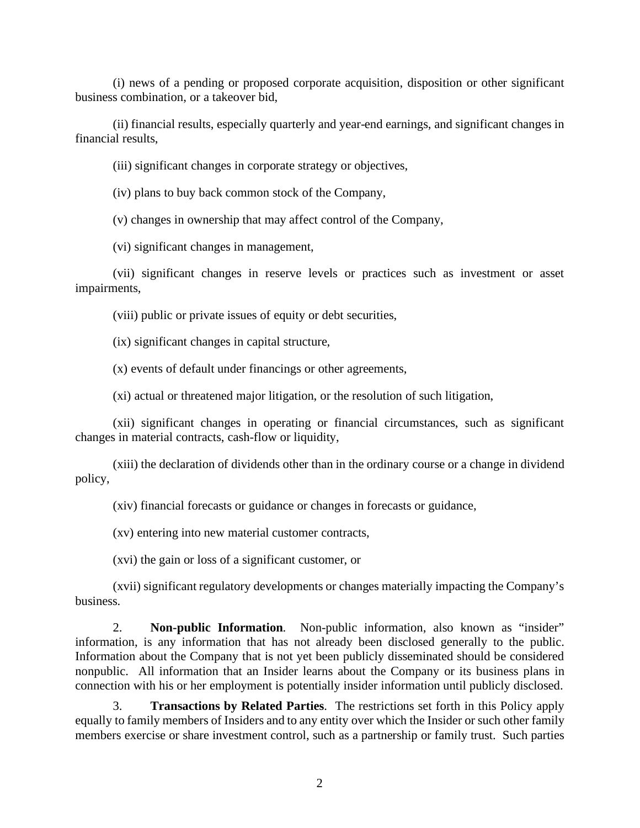(i) news of a pending or proposed corporate acquisition, disposition or other significant business combination, or a takeover bid,

(ii) financial results, especially quarterly and year-end earnings, and significant changes in financial results,

(iii) significant changes in corporate strategy or objectives,

(iv) plans to buy back common stock of the Company,

(v) changes in ownership that may affect control of the Company,

(vi) significant changes in management,

(vii) significant changes in reserve levels or practices such as investment or asset impairments,

(viii) public or private issues of equity or debt securities,

(ix) significant changes in capital structure,

(x) events of default under financings or other agreements,

(xi) actual or threatened major litigation, or the resolution of such litigation,

(xii) significant changes in operating or financial circumstances, such as significant changes in material contracts, cash-flow or liquidity,

(xiii) the declaration of dividends other than in the ordinary course or a change in dividend policy,

(xiv) financial forecasts or guidance or changes in forecasts or guidance,

(xv) entering into new material customer contracts,

(xvi) the gain or loss of a significant customer, or

(xvii) significant regulatory developments or changes materially impacting the Company's business.

2. **Non-public Information**. Non-public information, also known as "insider" information, is any information that has not already been disclosed generally to the public. Information about the Company that is not yet been publicly disseminated should be considered nonpublic. All information that an Insider learns about the Company or its business plans in connection with his or her employment is potentially insider information until publicly disclosed.

3. **Transactions by Related Parties**. The restrictions set forth in this Policy apply equally to family members of Insiders and to any entity over which the Insider or such other family members exercise or share investment control, such as a partnership or family trust. Such parties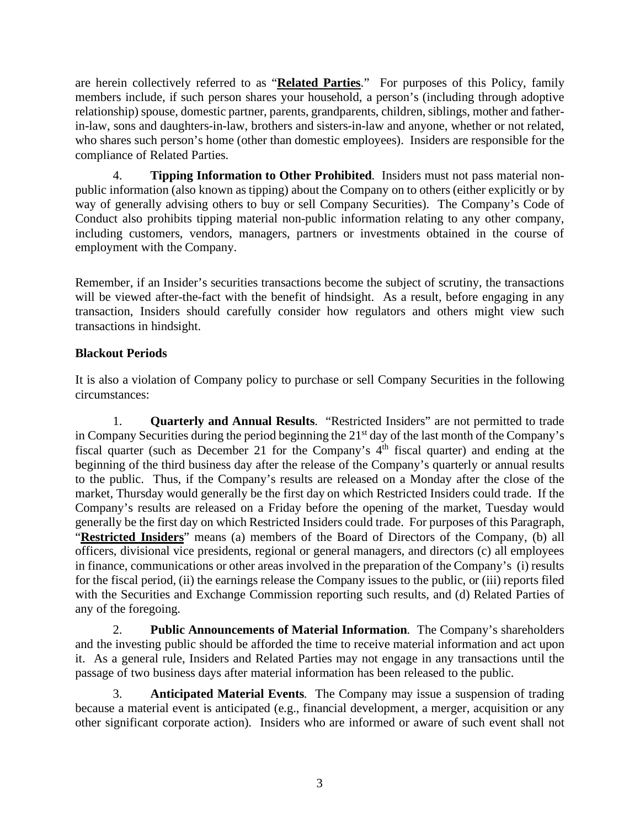are herein collectively referred to as "**Related Parties**." For purposes of this Policy, family members include, if such person shares your household, a person's (including through adoptive relationship) spouse, domestic partner, parents, grandparents, children, siblings, mother and fatherin-law, sons and daughters-in-law, brothers and sisters-in-law and anyone, whether or not related, who shares such person's home (other than domestic employees). Insiders are responsible for the compliance of Related Parties.

4. **Tipping Information to Other Prohibited**. Insiders must not pass material nonpublic information (also known as tipping) about the Company on to others (either explicitly or by way of generally advising others to buy or sell Company Securities). The Company's Code of Conduct also prohibits tipping material non-public information relating to any other company, including customers, vendors, managers, partners or investments obtained in the course of employment with the Company.

Remember, if an Insider's securities transactions become the subject of scrutiny, the transactions will be viewed after-the-fact with the benefit of hindsight. As a result, before engaging in any transaction, Insiders should carefully consider how regulators and others might view such transactions in hindsight.

# **Blackout Periods**

It is also a violation of Company policy to purchase or sell Company Securities in the following circumstances:

1. **Quarterly and Annual Results**. "Restricted Insiders" are not permitted to trade in Company Securities during the period beginning the 21<sup>st</sup> day of the last month of the Company's fiscal quarter (such as December 21 for the Company's  $4<sup>th</sup>$  fiscal quarter) and ending at the beginning of the third business day after the release of the Company's quarterly or annual results to the public. Thus, if the Company's results are released on a Monday after the close of the market, Thursday would generally be the first day on which Restricted Insiders could trade. If the Company's results are released on a Friday before the opening of the market, Tuesday would generally be the first day on which Restricted Insiders could trade. For purposes of this Paragraph, "**Restricted Insiders**" means (a) members of the Board of Directors of the Company, (b) all officers, divisional vice presidents, regional or general managers, and directors (c) all employees in finance, communications or other areas involved in the preparation of the Company's (i) results for the fiscal period, (ii) the earnings release the Company issues to the public, or (iii) reports filed with the Securities and Exchange Commission reporting such results, and (d) Related Parties of any of the foregoing.

2. **Public Announcements of Material Information**. The Company's shareholders and the investing public should be afforded the time to receive material information and act upon it. As a general rule, Insiders and Related Parties may not engage in any transactions until the passage of two business days after material information has been released to the public.

3. **Anticipated Material Events**. The Company may issue a suspension of trading because a material event is anticipated (e.g., financial development, a merger, acquisition or any other significant corporate action). Insiders who are informed or aware of such event shall not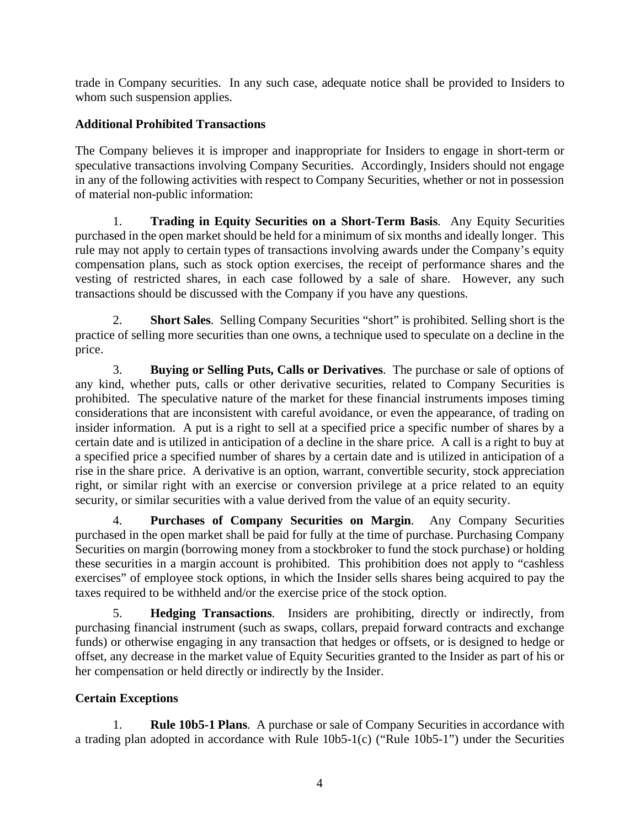trade in Company securities. In any such case, adequate notice shall be provided to Insiders to whom such suspension applies.

## **Additional Prohibited Transactions**

The Company believes it is improper and inappropriate for Insiders to engage in short-term or speculative transactions involving Company Securities. Accordingly, Insiders should not engage in any of the following activities with respect to Company Securities, whether or not in possession of material non-public information:

1. **Trading in Equity Securities on a Short-Term Basis**. Any Equity Securities purchased in the open market should be held for a minimum of six months and ideally longer. This rule may not apply to certain types of transactions involving awards under the Company's equity compensation plans, such as stock option exercises, the receipt of performance shares and the vesting of restricted shares, in each case followed by a sale of share. However, any such transactions should be discussed with the Company if you have any questions.

2. **Short Sales**. Selling Company Securities "short" is prohibited. Selling short is the practice of selling more securities than one owns, a technique used to speculate on a decline in the price.

3. **Buying or Selling Puts, Calls or Derivatives**. The purchase or sale of options of any kind, whether puts, calls or other derivative securities, related to Company Securities is prohibited. The speculative nature of the market for these financial instruments imposes timing considerations that are inconsistent with careful avoidance, or even the appearance, of trading on insider information. A put is a right to sell at a specified price a specific number of shares by a certain date and is utilized in anticipation of a decline in the share price. A call is a right to buy at a specified price a specified number of shares by a certain date and is utilized in anticipation of a rise in the share price. A derivative is an option, warrant, convertible security, stock appreciation right, or similar right with an exercise or conversion privilege at a price related to an equity security, or similar securities with a value derived from the value of an equity security.

4. **Purchases of Company Securities on Margin**. Any Company Securities purchased in the open market shall be paid for fully at the time of purchase. Purchasing Company Securities on margin (borrowing money from a stockbroker to fund the stock purchase) or holding these securities in a margin account is prohibited. This prohibition does not apply to "cashless exercises" of employee stock options, in which the Insider sells shares being acquired to pay the taxes required to be withheld and/or the exercise price of the stock option.

5. **Hedging Transactions**. Insiders are prohibiting, directly or indirectly, from purchasing financial instrument (such as swaps, collars, prepaid forward contracts and exchange funds) or otherwise engaging in any transaction that hedges or offsets, or is designed to hedge or offset, any decrease in the market value of Equity Securities granted to the Insider as part of his or her compensation or held directly or indirectly by the Insider.

# **Certain Exceptions**

1. **Rule 10b5-1 Plans**. A purchase or sale of Company Securities in accordance with a trading plan adopted in accordance with Rule  $10b5-1(c)$  ("Rule  $10b5-1$ ") under the Securities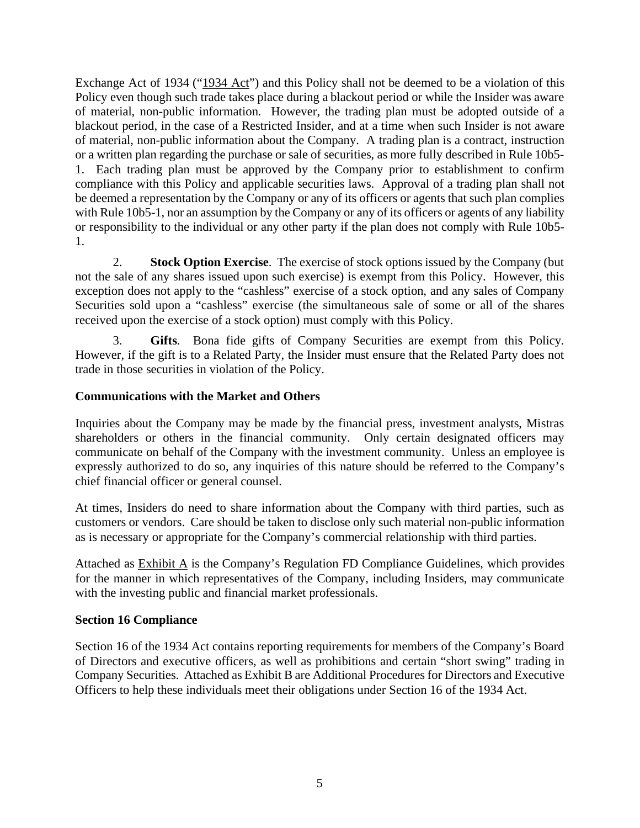Exchange Act of 1934 ("1934 Act") and this Policy shall not be deemed to be a violation of this Policy even though such trade takes place during a blackout period or while the Insider was aware of material, non-public information. However, the trading plan must be adopted outside of a blackout period, in the case of a Restricted Insider, and at a time when such Insider is not aware of material, non-public information about the Company. A trading plan is a contract, instruction or a written plan regarding the purchase or sale of securities, as more fully described in Rule 10b5- 1. Each trading plan must be approved by the Company prior to establishment to confirm compliance with this Policy and applicable securities laws. Approval of a trading plan shall not be deemed a representation by the Company or any of its officers or agents that such plan complies with Rule 10b5-1, nor an assumption by the Company or any of its officers or agents of any liability or responsibility to the individual or any other party if the plan does not comply with Rule 10b5- 1.

2. **Stock Option Exercise**. The exercise of stock options issued by the Company (but not the sale of any shares issued upon such exercise) is exempt from this Policy. However, this exception does not apply to the "cashless" exercise of a stock option, and any sales of Company Securities sold upon a "cashless" exercise (the simultaneous sale of some or all of the shares received upon the exercise of a stock option) must comply with this Policy.

3. **Gifts**. Bona fide gifts of Company Securities are exempt from this Policy. However, if the gift is to a Related Party, the Insider must ensure that the Related Party does not trade in those securities in violation of the Policy.

## **Communications with the Market and Others**

Inquiries about the Company may be made by the financial press, investment analysts, Mistras shareholders or others in the financial community. Only certain designated officers may communicate on behalf of the Company with the investment community. Unless an employee is expressly authorized to do so, any inquiries of this nature should be referred to the Company's chief financial officer or general counsel.

At times, Insiders do need to share information about the Company with third parties, such as customers or vendors. Care should be taken to disclose only such material non-public information as is necessary or appropriate for the Company's commercial relationship with third parties.

Attached as  $Exhibit A$  is the Company's Regulation FD Compliance Guidelines, which provides for the manner in which representatives of the Company, including Insiders, may communicate with the investing public and financial market professionals.

## **Section 16 Compliance**

Section 16 of the 1934 Act contains reporting requirements for members of the Company's Board of Directors and executive officers, as well as prohibitions and certain "short swing" trading in Company Securities. Attached as Exhibit B are Additional Procedures for Directors and Executive Officers to help these individuals meet their obligations under Section 16 of the 1934 Act.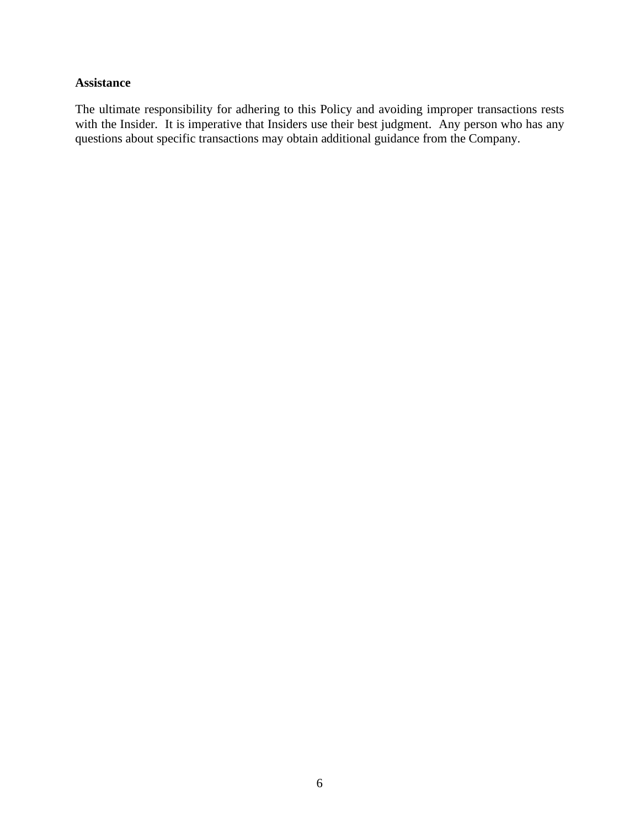#### **Assistance**

The ultimate responsibility for adhering to this Policy and avoiding improper transactions rests with the Insider. It is imperative that Insiders use their best judgment. Any person who has any questions about specific transactions may obtain additional guidance from the Company.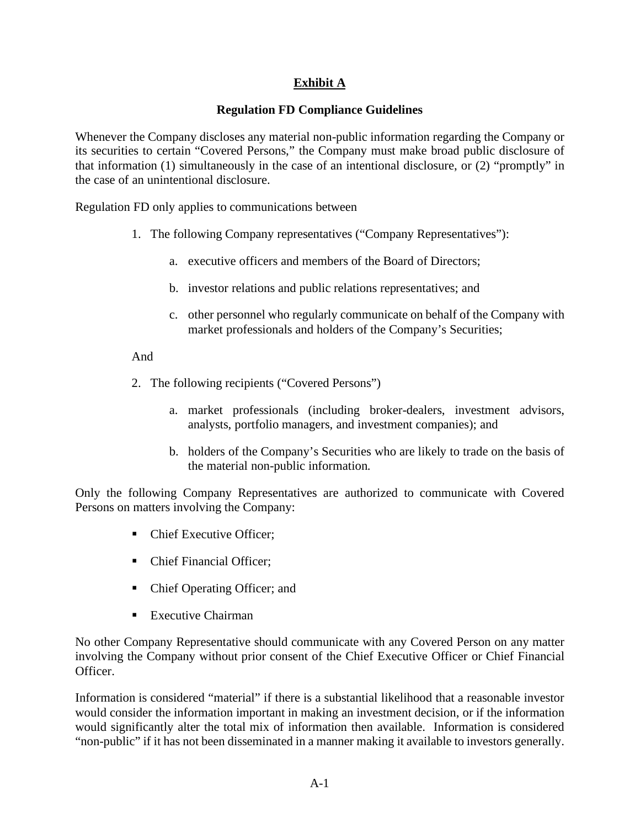# **Exhibit A**

# **Regulation FD Compliance Guidelines**

Whenever the Company discloses any material non-public information regarding the Company or its securities to certain "Covered Persons," the Company must make broad public disclosure of that information (1) simultaneously in the case of an intentional disclosure, or (2) "promptly" in the case of an unintentional disclosure.

Regulation FD only applies to communications between

- 1. The following Company representatives ("Company Representatives"):
	- a. executive officers and members of the Board of Directors;
	- b. investor relations and public relations representatives; and
	- c. other personnel who regularly communicate on behalf of the Company with market professionals and holders of the Company's Securities;

#### And

- 2. The following recipients ("Covered Persons")
	- a. market professionals (including broker-dealers, investment advisors, analysts, portfolio managers, and investment companies); and
	- b. holders of the Company's Securities who are likely to trade on the basis of the material non-public information.

Only the following Company Representatives are authorized to communicate with Covered Persons on matters involving the Company:

- Chief Executive Officer;
- Chief Financial Officer:
- Chief Operating Officer; and
- $\blacksquare$  Executive Chairman

No other Company Representative should communicate with any Covered Person on any matter involving the Company without prior consent of the Chief Executive Officer or Chief Financial Officer.

Information is considered "material" if there is a substantial likelihood that a reasonable investor would consider the information important in making an investment decision, or if the information would significantly alter the total mix of information then available. Information is considered "non-public" if it has not been disseminated in a manner making it available to investors generally.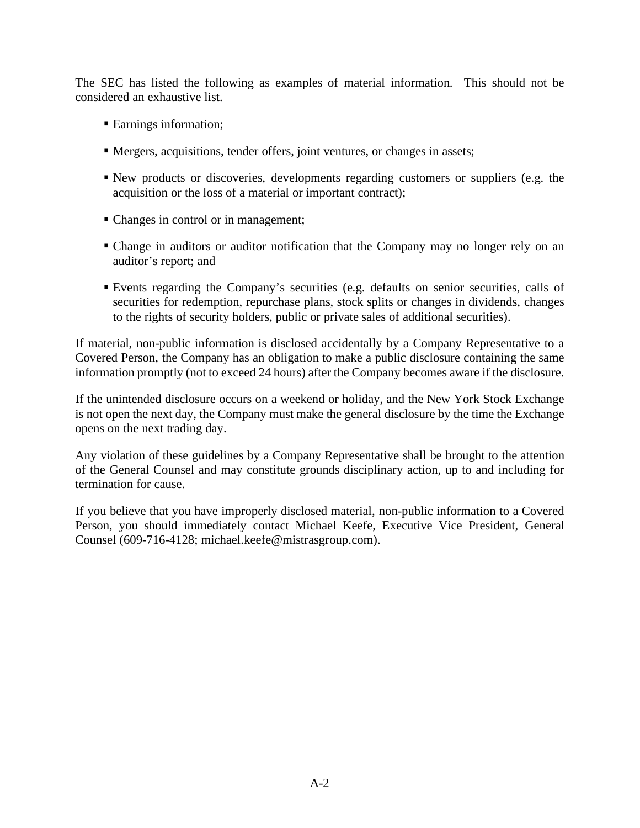The SEC has listed the following as examples of material information. This should not be considered an exhaustive list.

- Earnings information;
- Mergers, acquisitions, tender offers, joint ventures, or changes in assets;
- New products or discoveries, developments regarding customers or suppliers (e.g. the acquisition or the loss of a material or important contract);
- Changes in control or in management;
- Change in auditors or auditor notification that the Company may no longer rely on an auditor's report; and
- Events regarding the Company's securities (e.g. defaults on senior securities, calls of securities for redemption, repurchase plans, stock splits or changes in dividends, changes to the rights of security holders, public or private sales of additional securities).

If material, non-public information is disclosed accidentally by a Company Representative to a Covered Person, the Company has an obligation to make a public disclosure containing the same information promptly (not to exceed 24 hours) after the Company becomes aware if the disclosure.

If the unintended disclosure occurs on a weekend or holiday, and the New York Stock Exchange is not open the next day, the Company must make the general disclosure by the time the Exchange opens on the next trading day.

Any violation of these guidelines by a Company Representative shall be brought to the attention of the General Counsel and may constitute grounds disciplinary action, up to and including for termination for cause.

If you believe that you have improperly disclosed material, non-public information to a Covered Person, you should immediately contact Michael Keefe, Executive Vice President, General Counsel (609-716-4128; michael.keefe@mistrasgroup.com).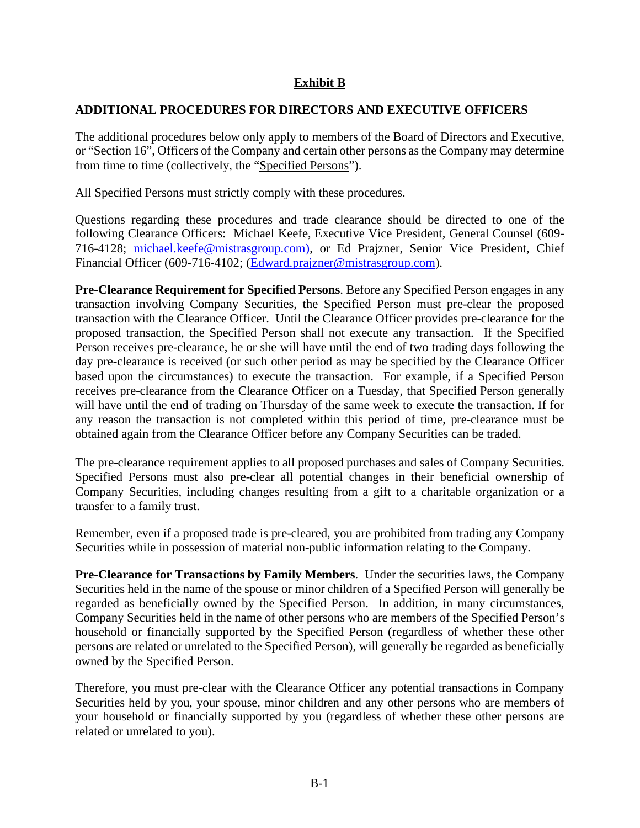# **Exhibit B**

### **ADDITIONAL PROCEDURES FOR DIRECTORS AND EXECUTIVE OFFICERS**

The additional procedures below only apply to members of the Board of Directors and Executive, or "Section 16", Officers of the Company and certain other persons as the Company may determine from time to time (collectively, the "Specified Persons").

All Specified Persons must strictly comply with these procedures.

Questions regarding these procedures and trade clearance should be directed to one of the following Clearance Officers: Michael Keefe, Executive Vice President, General Counsel (609- 716-4128; [michael.keefe@mistrasgroup.com\)](mailto:michael.keefe@mistrasgroup.com), or Ed Prajzner, Senior Vice President, Chief Financial Officer (609-716-4102; [\(Edward.prajzner@mistrasgroup.com\)](mailto:Edward.prajzner@mistrasgroup.com).

**Pre-Clearance Requirement for Specified Persons**. Before any Specified Person engages in any transaction involving Company Securities, the Specified Person must pre-clear the proposed transaction with the Clearance Officer. Until the Clearance Officer provides pre-clearance for the proposed transaction, the Specified Person shall not execute any transaction. If the Specified Person receives pre-clearance, he or she will have until the end of two trading days following the day pre-clearance is received (or such other period as may be specified by the Clearance Officer based upon the circumstances) to execute the transaction. For example, if a Specified Person receives pre-clearance from the Clearance Officer on a Tuesday, that Specified Person generally will have until the end of trading on Thursday of the same week to execute the transaction. If for any reason the transaction is not completed within this period of time, pre-clearance must be obtained again from the Clearance Officer before any Company Securities can be traded.

The pre-clearance requirement applies to all proposed purchases and sales of Company Securities. Specified Persons must also pre-clear all potential changes in their beneficial ownership of Company Securities, including changes resulting from a gift to a charitable organization or a transfer to a family trust.

Remember, even if a proposed trade is pre-cleared, you are prohibited from trading any Company Securities while in possession of material non-public information relating to the Company.

**Pre-Clearance for Transactions by Family Members**. Under the securities laws, the Company Securities held in the name of the spouse or minor children of a Specified Person will generally be regarded as beneficially owned by the Specified Person. In addition, in many circumstances, Company Securities held in the name of other persons who are members of the Specified Person's household or financially supported by the Specified Person (regardless of whether these other persons are related or unrelated to the Specified Person), will generally be regarded as beneficially owned by the Specified Person.

Therefore, you must pre-clear with the Clearance Officer any potential transactions in Company Securities held by you, your spouse, minor children and any other persons who are members of your household or financially supported by you (regardless of whether these other persons are related or unrelated to you).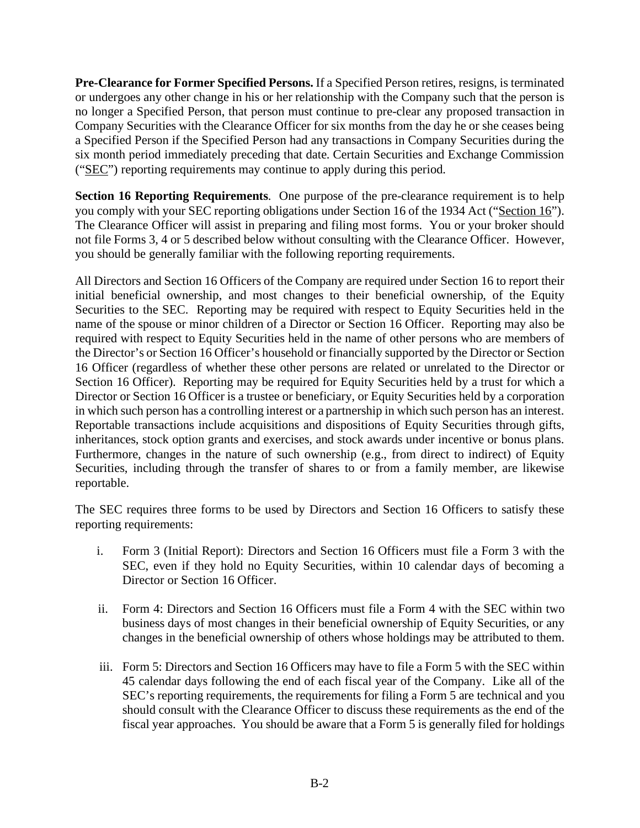**Pre-Clearance for Former Specified Persons.** If a Specified Person retires, resigns, is terminated or undergoes any other change in his or her relationship with the Company such that the person is no longer a Specified Person, that person must continue to pre-clear any proposed transaction in Company Securities with the Clearance Officer for six months from the day he or she ceases being a Specified Person if the Specified Person had any transactions in Company Securities during the six month period immediately preceding that date. Certain Securities and Exchange Commission ("SEC") reporting requirements may continue to apply during this period.

**Section 16 Reporting Requirements**. One purpose of the pre-clearance requirement is to help you comply with your SEC reporting obligations under Section 16 of the 1934 Act ("Section 16"). The Clearance Officer will assist in preparing and filing most forms. You or your broker should not file Forms 3, 4 or 5 described below without consulting with the Clearance Officer. However, you should be generally familiar with the following reporting requirements.

All Directors and Section 16 Officers of the Company are required under Section 16 to report their initial beneficial ownership, and most changes to their beneficial ownership, of the Equity Securities to the SEC. Reporting may be required with respect to Equity Securities held in the name of the spouse or minor children of a Director or Section 16 Officer. Reporting may also be required with respect to Equity Securities held in the name of other persons who are members of the Director's or Section 16 Officer's household or financially supported by the Director or Section 16 Officer (regardless of whether these other persons are related or unrelated to the Director or Section 16 Officer). Reporting may be required for Equity Securities held by a trust for which a Director or Section 16 Officer is a trustee or beneficiary, or Equity Securities held by a corporation in which such person has a controlling interest or a partnership in which such person has an interest. Reportable transactions include acquisitions and dispositions of Equity Securities through gifts, inheritances, stock option grants and exercises, and stock awards under incentive or bonus plans. Furthermore, changes in the nature of such ownership (e.g., from direct to indirect) of Equity Securities, including through the transfer of shares to or from a family member, are likewise reportable.

The SEC requires three forms to be used by Directors and Section 16 Officers to satisfy these reporting requirements:

- i. Form 3 (Initial Report): Directors and Section 16 Officers must file a Form 3 with the SEC, even if they hold no Equity Securities, within 10 calendar days of becoming a Director or Section 16 Officer.
- ii. Form 4: Directors and Section 16 Officers must file a Form 4 with the SEC within two business days of most changes in their beneficial ownership of Equity Securities, or any changes in the beneficial ownership of others whose holdings may be attributed to them.
- iii. Form 5: Directors and Section 16 Officers may have to file a Form 5 with the SEC within 45 calendar days following the end of each fiscal year of the Company. Like all of the SEC's reporting requirements, the requirements for filing a Form 5 are technical and you should consult with the Clearance Officer to discuss these requirements as the end of the fiscal year approaches. You should be aware that a Form 5 is generally filed for holdings